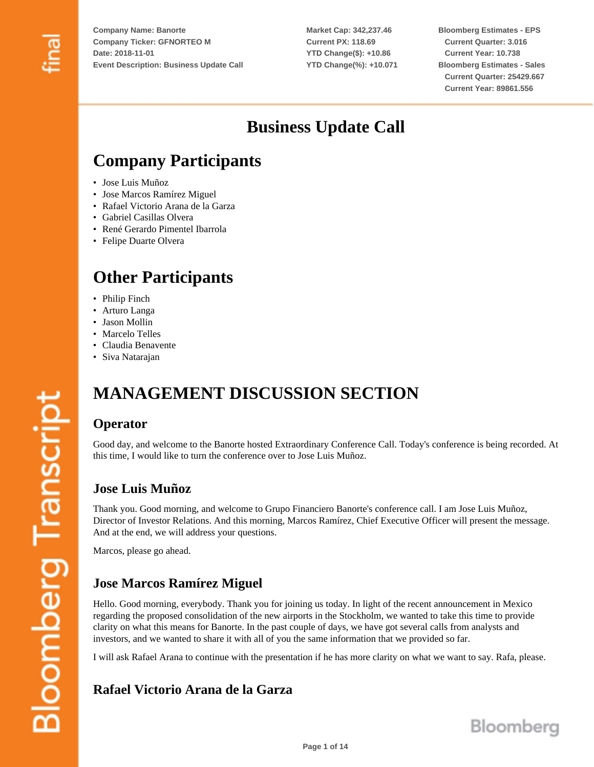**Market Cap: 342,237.46 Current PX: 118.69 YTD Change(\$): +10.86 YTD Change(%): +10.071**

**Bloomberg Estimates - EPS Current Quarter: 3.016 Current Year: 10.738 Bloomberg Estimates - Sales Current Quarter: 25429.667 Current Year: 89861.556**

# **Business Update Call**

# **Company Participants**

- Jose Luis Muñoz
- Jose Marcos Ramírez Miguel
- Rafael Victorio Arana de la Garza
- Gabriel Casillas Olvera
- René Gerardo Pimentel Ibarrola
- Felipe Duarte Olvera

# **Other Participants**

- Philip Finch
- Arturo Langa
- Jason Mollin
- Marcelo Telles
- Claudia Benavente
- Siva Natarajan

# **MANAGEMENT DISCUSSION SECTION**

#### **Operator**

Good day, and welcome to the Banorte hosted Extraordinary Conference Call. Today's conference is being recorded. At this time, I would like to turn the conference over to Jose Luis Muñoz.

#### **Jose Luis Muñoz**

Thank you. Good morning, and welcome to Grupo Financiero Banorte's conference call. I am Jose Luis Muñoz, Director of Investor Relations. And this morning, Marcos Ramírez, Chief Executive Officer will present the message. And at the end, we will address your questions.

Marcos, please go ahead.

## **Jose Marcos Ramírez Miguel**

Hello. Good morning, everybody. Thank you for joining us today. In light of the recent announcement in Mexico regarding the proposed consolidation of the new airports in the Stockholm, we wanted to take this time to provide clarity on what this means for Banorte. In the past couple of days, we have got several calls from analysts and investors, and we wanted to share it with all of you the same information that we provided so far.

I will ask Rafael Arana to continue with the presentation if he has more clarity on what we want to say. Rafa, please.

#### **Rafael Victorio Arana de la Garza**

**Bloomberg Transcript**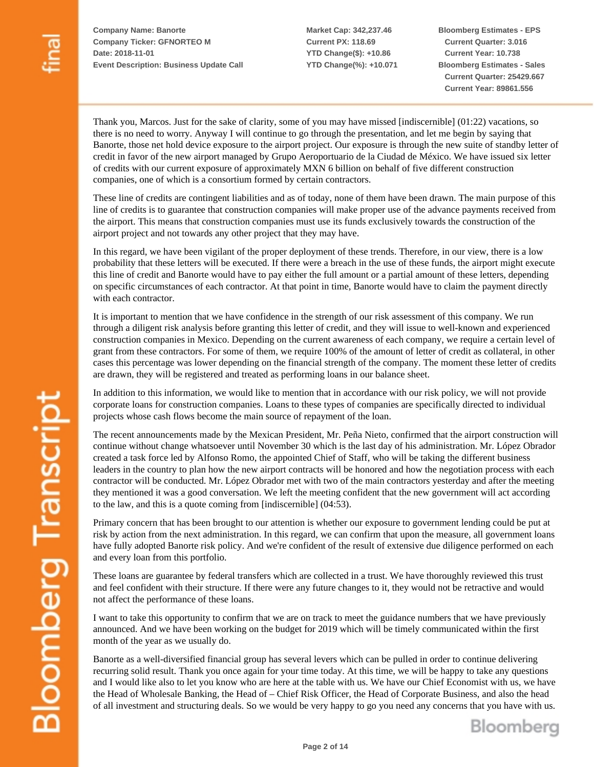**Market Cap: 342,237.46 Current PX: 118.69 YTD Change(\$): +10.86 YTD Change(%): +10.071** **Bloomberg Estimates - EPS Current Quarter: 3.016 Current Year: 10.738 Bloomberg Estimates - Sales Current Quarter: 25429.667 Current Year: 89861.556**

Thank you, Marcos. Just for the sake of clarity, some of you may have missed [indiscernible] (01:22) vacations, so there is no need to worry. Anyway I will continue to go through the presentation, and let me begin by saying that Banorte, those net hold device exposure to the airport project. Our exposure is through the new suite of standby letter of credit in favor of the new airport managed by Grupo Aeroportuario de la Ciudad de México. We have issued six letter of credits with our current exposure of approximately MXN 6 billion on behalf of five different construction companies, one of which is a consortium formed by certain contractors.

These line of credits are contingent liabilities and as of today, none of them have been drawn. The main purpose of this line of credits is to guarantee that construction companies will make proper use of the advance payments received from the airport. This means that construction companies must use its funds exclusively towards the construction of the airport project and not towards any other project that they may have.

In this regard, we have been vigilant of the proper deployment of these trends. Therefore, in our view, there is a low probability that these letters will be executed. If there were a breach in the use of these funds, the airport might execute this line of credit and Banorte would have to pay either the full amount or a partial amount of these letters, depending on specific circumstances of each contractor. At that point in time, Banorte would have to claim the payment directly with each contractor.

It is important to mention that we have confidence in the strength of our risk assessment of this company. We run through a diligent risk analysis before granting this letter of credit, and they will issue to well-known and experienced construction companies in Mexico. Depending on the current awareness of each company, we require a certain level of grant from these contractors. For some of them, we require 100% of the amount of letter of credit as collateral, in other cases this percentage was lower depending on the financial strength of the company. The moment these letter of credits are drawn, they will be registered and treated as performing loans in our balance sheet.

In addition to this information, we would like to mention that in accordance with our risk policy, we will not provide corporate loans for construction companies. Loans to these types of companies are specifically directed to individual projects whose cash flows become the main source of repayment of the loan.

The recent announcements made by the Mexican President, Mr. Peña Nieto, confirmed that the airport construction will continue without change whatsoever until November 30 which is the last day of his administration. Mr. López Obrador created a task force led by Alfonso Romo, the appointed Chief of Staff, who will be taking the different business leaders in the country to plan how the new airport contracts will be honored and how the negotiation process with each contractor will be conducted. Mr. López Obrador met with two of the main contractors yesterday and after the meeting they mentioned it was a good conversation. We left the meeting confident that the new government will act according to the law, and this is a quote coming from [indiscernible] (04:53).

Primary concern that has been brought to our attention is whether our exposure to government lending could be put at risk by action from the next administration. In this regard, we can confirm that upon the measure, all government loans have fully adopted Banorte risk policy. And we're confident of the result of extensive due diligence performed on each and every loan from this portfolio.

These loans are guarantee by federal transfers which are collected in a trust. We have thoroughly reviewed this trust and feel confident with their structure. If there were any future changes to it, they would not be retractive and would not affect the performance of these loans.

I want to take this opportunity to confirm that we are on track to meet the guidance numbers that we have previously announced. And we have been working on the budget for 2019 which will be timely communicated within the first month of the year as we usually do.

Banorte as a well-diversified financial group has several levers which can be pulled in order to continue delivering recurring solid result. Thank you once again for your time today. At this time, we will be happy to take any questions and I would like also to let you know who are here at the table with us. We have our Chief Economist with us, we have the Head of Wholesale Banking, the Head of – Chief Risk Officer, the Head of Corporate Business, and also the head of all investment and structuring deals. So we would be very happy to go you need any concerns that you have with us.

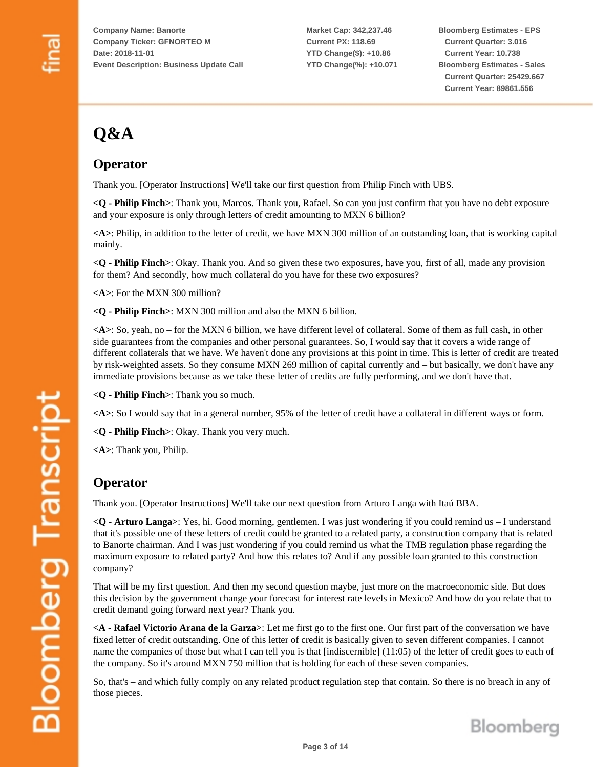**Market Cap: 342,237.46 Current PX: 118.69 YTD Change(\$): +10.86 YTD Change(%): +10.071** **Bloomberg Estimates - EPS Current Quarter: 3.016 Current Year: 10.738 Bloomberg Estimates - Sales Current Quarter: 25429.667 Current Year: 89861.556**

# **Q&A**

# **Operator**

Thank you. [Operator Instructions] We'll take our first question from Philip Finch with UBS.

**<Q - Philip Finch>**: Thank you, Marcos. Thank you, Rafael. So can you just confirm that you have no debt exposure and your exposure is only through letters of credit amounting to MXN 6 billion?

**<A>**: Philip, in addition to the letter of credit, we have MXN 300 million of an outstanding loan, that is working capital mainly.

**<Q - Philip Finch>**: Okay. Thank you. And so given these two exposures, have you, first of all, made any provision for them? And secondly, how much collateral do you have for these two exposures?

**<A>**: For the MXN 300 million?

**<Q - Philip Finch>**: MXN 300 million and also the MXN 6 billion.

**<A>**: So, yeah, no – for the MXN 6 billion, we have different level of collateral. Some of them as full cash, in other side guarantees from the companies and other personal guarantees. So, I would say that it covers a wide range of different collaterals that we have. We haven't done any provisions at this point in time. This is letter of credit are treated by risk-weighted assets. So they consume MXN 269 million of capital currently and – but basically, we don't have any immediate provisions because as we take these letter of credits are fully performing, and we don't have that.

**<Q - Philip Finch>**: Thank you so much.

**<A>**: So I would say that in a general number, 95% of the letter of credit have a collateral in different ways or form.

**<Q - Philip Finch>**: Okay. Thank you very much.

**<A>**: Thank you, Philip.

#### **Operator**

Thank you. [Operator Instructions] We'll take our next question from Arturo Langa with Itaú BBA.

**<Q - Arturo Langa>**: Yes, hi. Good morning, gentlemen. I was just wondering if you could remind us – I understand that it's possible one of these letters of credit could be granted to a related party, a construction company that is related to Banorte chairman. And I was just wondering if you could remind us what the TMB regulation phase regarding the maximum exposure to related party? And how this relates to? And if any possible loan granted to this construction company?

That will be my first question. And then my second question maybe, just more on the macroeconomic side. But does this decision by the government change your forecast for interest rate levels in Mexico? And how do you relate that to credit demand going forward next year? Thank you.

**<A - Rafael Victorio Arana de la Garza>**: Let me first go to the first one. Our first part of the conversation we have fixed letter of credit outstanding. One of this letter of credit is basically given to seven different companies. I cannot name the companies of those but what I can tell you is that [indiscernible] (11:05) of the letter of credit goes to each of the company. So it's around MXN 750 million that is holding for each of these seven companies.

So, that's – and which fully comply on any related product regulation step that contain. So there is no breach in any of those pieces.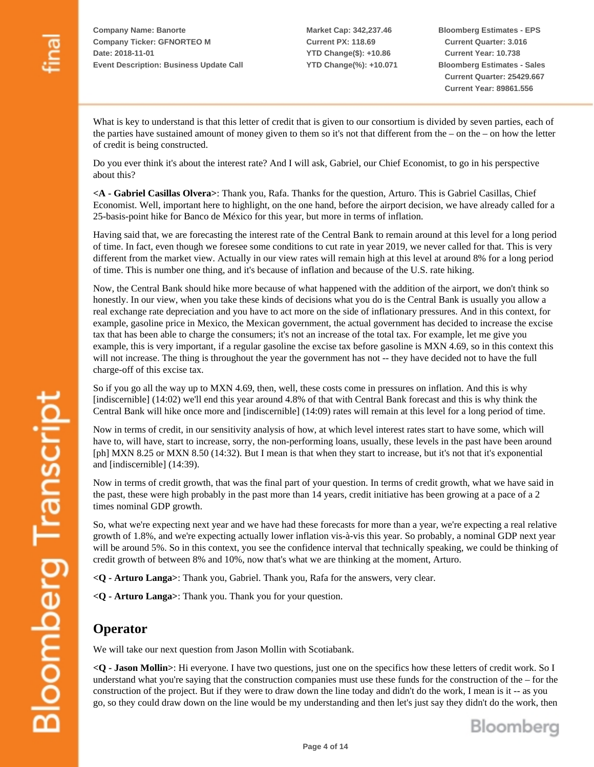**Bloomberg Estimates - EPS Current Quarter: 3.016 Current Year: 10.738 Bloomberg Estimates - Sales Current Quarter: 25429.667 Current Year: 89861.556**

What is key to understand is that this letter of credit that is given to our consortium is divided by seven parties, each of the parties have sustained amount of money given to them so it's not that different from the – on the – on how the letter of credit is being constructed.

Do you ever think it's about the interest rate? And I will ask, Gabriel, our Chief Economist, to go in his perspective about this?

**<A - Gabriel Casillas Olvera>**: Thank you, Rafa. Thanks for the question, Arturo. This is Gabriel Casillas, Chief Economist. Well, important here to highlight, on the one hand, before the airport decision, we have already called for a 25-basis-point hike for Banco de México for this year, but more in terms of inflation.

Having said that, we are forecasting the interest rate of the Central Bank to remain around at this level for a long period of time. In fact, even though we foresee some conditions to cut rate in year 2019, we never called for that. This is very different from the market view. Actually in our view rates will remain high at this level at around 8% for a long period of time. This is number one thing, and it's because of inflation and because of the U.S. rate hiking.

Now, the Central Bank should hike more because of what happened with the addition of the airport, we don't think so honestly. In our view, when you take these kinds of decisions what you do is the Central Bank is usually you allow a real exchange rate depreciation and you have to act more on the side of inflationary pressures. And in this context, for example, gasoline price in Mexico, the Mexican government, the actual government has decided to increase the excise tax that has been able to charge the consumers; it's not an increase of the total tax. For example, let me give you example, this is very important, if a regular gasoline the excise tax before gasoline is MXN 4.69, so in this context this will not increase. The thing is throughout the year the government has not -- they have decided not to have the full charge-off of this excise tax.

So if you go all the way up to MXN 4.69, then, well, these costs come in pressures on inflation. And this is why [indiscernible] (14:02) we'll end this year around 4.8% of that with Central Bank forecast and this is why think the Central Bank will hike once more and [indiscernible] (14:09) rates will remain at this level for a long period of time.

Now in terms of credit, in our sensitivity analysis of how, at which level interest rates start to have some, which will have to, will have, start to increase, sorry, the non-performing loans, usually, these levels in the past have been around [ph] MXN 8.25 or MXN 8.50 (14:32). But I mean is that when they start to increase, but it's not that it's exponential and [indiscernible] (14:39).

Now in terms of credit growth, that was the final part of your question. In terms of credit growth, what we have said in the past, these were high probably in the past more than 14 years, credit initiative has been growing at a pace of a 2 times nominal GDP growth.

So, what we're expecting next year and we have had these forecasts for more than a year, we're expecting a real relative growth of 1.8%, and we're expecting actually lower inflation vis-à-vis this year. So probably, a nominal GDP next year will be around 5%. So in this context, you see the confidence interval that technically speaking, we could be thinking of credit growth of between 8% and 10%, now that's what we are thinking at the moment, Arturo.

**<Q - Arturo Langa>**: Thank you, Gabriel. Thank you, Rafa for the answers, very clear.

**<Q - Arturo Langa>**: Thank you. Thank you for your question.

#### **Operator**

We will take our next question from Jason Mollin with Scotiabank.

**<Q - Jason Mollin>**: Hi everyone. I have two questions, just one on the specifics how these letters of credit work. So I understand what you're saying that the construction companies must use these funds for the construction of the – for the construction of the project. But if they were to draw down the line today and didn't do the work, I mean is it -- as you go, so they could draw down on the line would be my understanding and then let's just say they didn't do the work, then

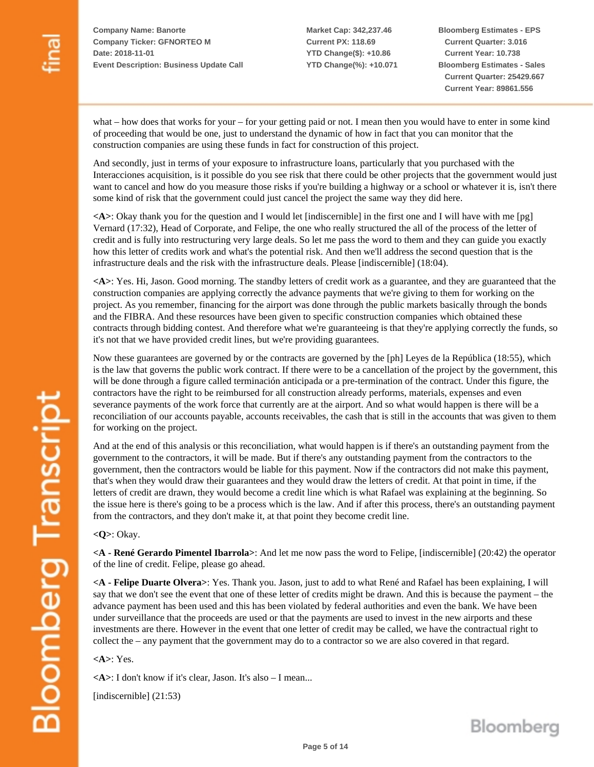**Market Cap: 342,237.46 Current PX: 118.69 YTD Change(\$): +10.86 YTD Change(%): +10.071** **Bloomberg Estimates - EPS Current Quarter: 3.016 Current Year: 10.738 Bloomberg Estimates - Sales Current Quarter: 25429.667 Current Year: 89861.556**

what – how does that works for your – for your getting paid or not. I mean then you would have to enter in some kind of proceeding that would be one, just to understand the dynamic of how in fact that you can monitor that the construction companies are using these funds in fact for construction of this project.

And secondly, just in terms of your exposure to infrastructure loans, particularly that you purchased with the Interacciones acquisition, is it possible do you see risk that there could be other projects that the government would just want to cancel and how do you measure those risks if you're building a highway or a school or whatever it is, isn't there some kind of risk that the government could just cancel the project the same way they did here.

**<A>**: Okay thank you for the question and I would let [indiscernible] in the first one and I will have with me [pg] Vernard (17:32), Head of Corporate, and Felipe, the one who really structured the all of the process of the letter of credit and is fully into restructuring very large deals. So let me pass the word to them and they can guide you exactly how this letter of credits work and what's the potential risk. And then we'll address the second question that is the infrastructure deals and the risk with the infrastructure deals. Please [indiscernible] (18:04).

**<A>**: Yes. Hi, Jason. Good morning. The standby letters of credit work as a guarantee, and they are guaranteed that the construction companies are applying correctly the advance payments that we're giving to them for working on the project. As you remember, financing for the airport was done through the public markets basically through the bonds and the FIBRA. And these resources have been given to specific construction companies which obtained these contracts through bidding contest. And therefore what we're guaranteeing is that they're applying correctly the funds, so it's not that we have provided credit lines, but we're providing guarantees.

Now these guarantees are governed by or the contracts are governed by the [ph] Leyes de la República (18:55), which is the law that governs the public work contract. If there were to be a cancellation of the project by the government, this will be done through a figure called terminación anticipada or a pre-termination of the contract. Under this figure, the contractors have the right to be reimbursed for all construction already performs, materials, expenses and even severance payments of the work force that currently are at the airport. And so what would happen is there will be a reconciliation of our accounts payable, accounts receivables, the cash that is still in the accounts that was given to them for working on the project.

And at the end of this analysis or this reconciliation, what would happen is if there's an outstanding payment from the government to the contractors, it will be made. But if there's any outstanding payment from the contractors to the government, then the contractors would be liable for this payment. Now if the contractors did not make this payment, that's when they would draw their guarantees and they would draw the letters of credit. At that point in time, if the letters of credit are drawn, they would become a credit line which is what Rafael was explaining at the beginning. So the issue here is there's going to be a process which is the law. And if after this process, there's an outstanding payment from the contractors, and they don't make it, at that point they become credit line.

**<Q>**: Okay.

**Bloomberg Transcript** 

**<A - René Gerardo Pimentel Ibarrola>**: And let me now pass the word to Felipe, [indiscernible] (20:42) the operator of the line of credit. Felipe, please go ahead.

**<A - Felipe Duarte Olvera>**: Yes. Thank you. Jason, just to add to what René and Rafael has been explaining, I will say that we don't see the event that one of these letter of credits might be drawn. And this is because the payment – the advance payment has been used and this has been violated by federal authorities and even the bank. We have been under surveillance that the proceeds are used or that the payments are used to invest in the new airports and these investments are there. However in the event that one letter of credit may be called, we have the contractual right to collect the – any payment that the government may do to a contractor so we are also covered in that regard.

**<A>**: Yes.

**<A>**: I don't know if it's clear, Jason. It's also – I mean...

[indiscernible] (21:53)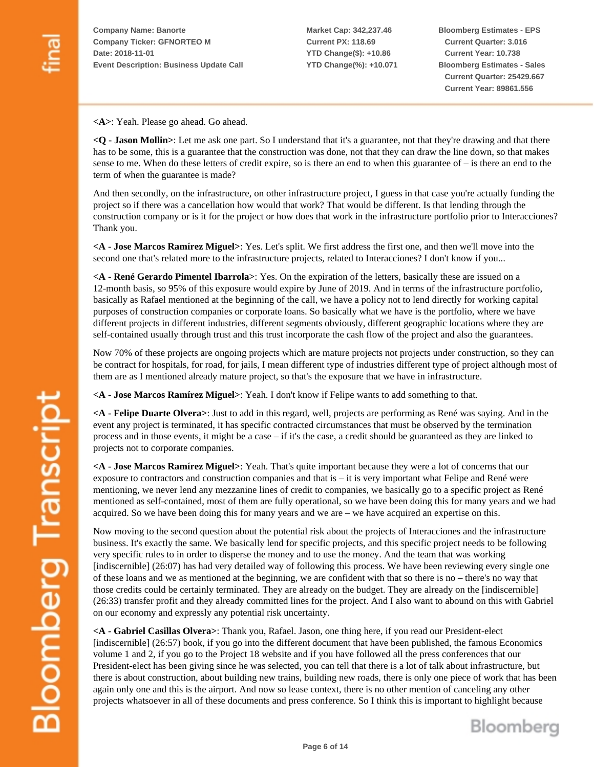**Market Cap: 342,237.46 Current PX: 118.69 YTD Change(\$): +10.86 YTD Change(%): +10.071** **Bloomberg Estimates - EPS Current Quarter: 3.016 Current Year: 10.738 Bloomberg Estimates - Sales Current Quarter: 25429.667 Current Year: 89861.556**

**<A>**: Yeah. Please go ahead. Go ahead.

**<Q - Jason Mollin>**: Let me ask one part. So I understand that it's a guarantee, not that they're drawing and that there has to be some, this is a guarantee that the construction was done, not that they can draw the line down, so that makes sense to me. When do these letters of credit expire, so is there an end to when this guarantee of  $-$  is there an end to the term of when the guarantee is made?

And then secondly, on the infrastructure, on other infrastructure project, I guess in that case you're actually funding the project so if there was a cancellation how would that work? That would be different. Is that lending through the construction company or is it for the project or how does that work in the infrastructure portfolio prior to Interacciones? Thank you.

**<A - Jose Marcos Ramírez Miguel>**: Yes. Let's split. We first address the first one, and then we'll move into the second one that's related more to the infrastructure projects, related to Interacciones? I don't know if you...

**<A - René Gerardo Pimentel Ibarrola>**: Yes. On the expiration of the letters, basically these are issued on a 12-month basis, so 95% of this exposure would expire by June of 2019. And in terms of the infrastructure portfolio, basically as Rafael mentioned at the beginning of the call, we have a policy not to lend directly for working capital purposes of construction companies or corporate loans. So basically what we have is the portfolio, where we have different projects in different industries, different segments obviously, different geographic locations where they are self-contained usually through trust and this trust incorporate the cash flow of the project and also the guarantees.

Now 70% of these projects are ongoing projects which are mature projects not projects under construction, so they can be contract for hospitals, for road, for jails, I mean different type of industries different type of project although most of them are as I mentioned already mature project, so that's the exposure that we have in infrastructure.

**<A - Jose Marcos Ramírez Miguel>**: Yeah. I don't know if Felipe wants to add something to that.

**<A - Felipe Duarte Olvera>**: Just to add in this regard, well, projects are performing as René was saying. And in the event any project is terminated, it has specific contracted circumstances that must be observed by the termination process and in those events, it might be a case – if it's the case, a credit should be guaranteed as they are linked to projects not to corporate companies.

**<A - Jose Marcos Ramírez Miguel>**: Yeah. That's quite important because they were a lot of concerns that our exposure to contractors and construction companies and that is – it is very important what Felipe and René were mentioning, we never lend any mezzanine lines of credit to companies, we basically go to a specific project as René mentioned as self-contained, most of them are fully operational, so we have been doing this for many years and we had acquired. So we have been doing this for many years and we are – we have acquired an expertise on this.

Now moving to the second question about the potential risk about the projects of Interacciones and the infrastructure business. It's exactly the same. We basically lend for specific projects, and this specific project needs to be following very specific rules to in order to disperse the money and to use the money. And the team that was working [indiscernible] (26:07) has had very detailed way of following this process. We have been reviewing every single one of these loans and we as mentioned at the beginning, we are confident with that so there is no – there's no way that those credits could be certainly terminated. They are already on the budget. They are already on the [indiscernible] (26:33) transfer profit and they already committed lines for the project. And I also want to abound on this with Gabriel on our economy and expressly any potential risk uncertainty.

**<A - Gabriel Casillas Olvera>**: Thank you, Rafael. Jason, one thing here, if you read our President-elect [indiscernible] (26:57) book, if you go into the different document that have been published, the famous Economics volume 1 and 2, if you go to the Project 18 website and if you have followed all the press conferences that our President-elect has been giving since he was selected, you can tell that there is a lot of talk about infrastructure, but there is about construction, about building new trains, building new roads, there is only one piece of work that has been again only one and this is the airport. And now so lease context, there is no other mention of canceling any other projects whatsoever in all of these documents and press conference. So I think this is important to highlight because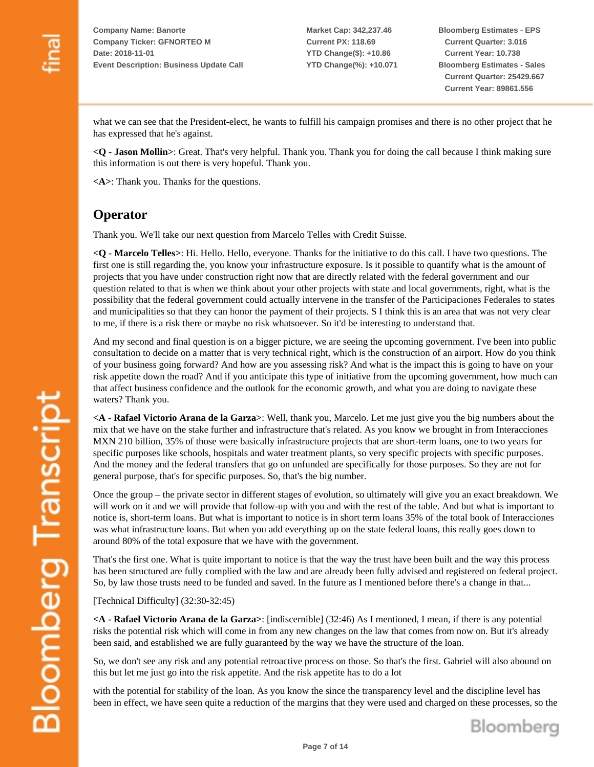**Market Cap: 342,237.46 Current PX: 118.69 YTD Change(\$): +10.86 YTD Change(%): +10.071** **Bloomberg Estimates - EPS Current Quarter: 3.016 Current Year: 10.738 Bloomberg Estimates - Sales Current Quarter: 25429.667 Current Year: 89861.556**

what we can see that the President-elect, he wants to fulfill his campaign promises and there is no other project that he has expressed that he's against.

**<Q - Jason Mollin>**: Great. That's very helpful. Thank you. Thank you for doing the call because I think making sure this information is out there is very hopeful. Thank you.

**<A>**: Thank you. Thanks for the questions.

#### **Operator**

Thank you. We'll take our next question from Marcelo Telles with Credit Suisse.

**<Q - Marcelo Telles>**: Hi. Hello. Hello, everyone. Thanks for the initiative to do this call. I have two questions. The first one is still regarding the, you know your infrastructure exposure. Is it possible to quantify what is the amount of projects that you have under construction right now that are directly related with the federal government and our question related to that is when we think about your other projects with state and local governments, right, what is the possibility that the federal government could actually intervene in the transfer of the Participaciones Federales to states and municipalities so that they can honor the payment of their projects. S I think this is an area that was not very clear to me, if there is a risk there or maybe no risk whatsoever. So it'd be interesting to understand that.

And my second and final question is on a bigger picture, we are seeing the upcoming government. I've been into public consultation to decide on a matter that is very technical right, which is the construction of an airport. How do you think of your business going forward? And how are you assessing risk? And what is the impact this is going to have on your risk appetite down the road? And if you anticipate this type of initiative from the upcoming government, how much can that affect business confidence and the outlook for the economic growth, and what you are doing to navigate these waters? Thank you.

**<A - Rafael Victorio Arana de la Garza>**: Well, thank you, Marcelo. Let me just give you the big numbers about the mix that we have on the stake further and infrastructure that's related. As you know we brought in from Interacciones MXN 210 billion, 35% of those were basically infrastructure projects that are short-term loans, one to two years for specific purposes like schools, hospitals and water treatment plants, so very specific projects with specific purposes. And the money and the federal transfers that go on unfunded are specifically for those purposes. So they are not for general purpose, that's for specific purposes. So, that's the big number.

Once the group – the private sector in different stages of evolution, so ultimately will give you an exact breakdown. We will work on it and we will provide that follow-up with you and with the rest of the table. And but what is important to notice is, short-term loans. But what is important to notice is in short term loans 35% of the total book of Interacciones was what infrastructure loans. But when you add everything up on the state federal loans, this really goes down to around 80% of the total exposure that we have with the government.

That's the first one. What is quite important to notice is that the way the trust have been built and the way this process has been structured are fully complied with the law and are already been fully advised and registered on federal project. So, by law those trusts need to be funded and saved. In the future as I mentioned before there's a change in that...

[Technical Difficulty] (32:30-32:45)

**<A - Rafael Victorio Arana de la Garza>**: [indiscernible] (32:46) As I mentioned, I mean, if there is any potential risks the potential risk which will come in from any new changes on the law that comes from now on. But it's already been said, and established we are fully guaranteed by the way we have the structure of the loan.

So, we don't see any risk and any potential retroactive process on those. So that's the first. Gabriel will also abound on this but let me just go into the risk appetite. And the risk appetite has to do a lot

with the potential for stability of the loan. As you know the since the transparency level and the discipline level has been in effect, we have seen quite a reduction of the margins that they were used and charged on these processes, so the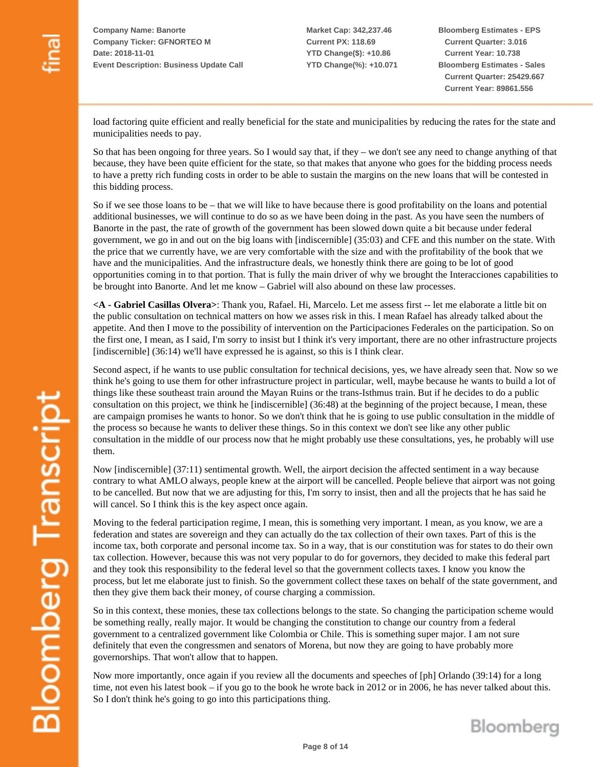**Bloomberg Estimates - EPS Current Quarter: 3.016 Current Year: 10.738 Bloomberg Estimates - Sales Current Quarter: 25429.667 Current Year: 89861.556**

load factoring quite efficient and really beneficial for the state and municipalities by reducing the rates for the state and municipalities needs to pay.

So that has been ongoing for three years. So I would say that, if they – we don't see any need to change anything of that because, they have been quite efficient for the state, so that makes that anyone who goes for the bidding process needs to have a pretty rich funding costs in order to be able to sustain the margins on the new loans that will be contested in this bidding process.

So if we see those loans to be – that we will like to have because there is good profitability on the loans and potential additional businesses, we will continue to do so as we have been doing in the past. As you have seen the numbers of Banorte in the past, the rate of growth of the government has been slowed down quite a bit because under federal government, we go in and out on the big loans with [indiscernible] (35:03) and CFE and this number on the state. With the price that we currently have, we are very comfortable with the size and with the profitability of the book that we have and the municipalities. And the infrastructure deals, we honestly think there are going to be lot of good opportunities coming in to that portion. That is fully the main driver of why we brought the Interacciones capabilities to be brought into Banorte. And let me know – Gabriel will also abound on these law processes.

**<A - Gabriel Casillas Olvera>**: Thank you, Rafael. Hi, Marcelo. Let me assess first -- let me elaborate a little bit on the public consultation on technical matters on how we asses risk in this. I mean Rafael has already talked about the appetite. And then I move to the possibility of intervention on the Participaciones Federales on the participation. So on the first one, I mean, as I said, I'm sorry to insist but I think it's very important, there are no other infrastructure projects [indiscernible] (36:14) we'll have expressed he is against, so this is I think clear.

Second aspect, if he wants to use public consultation for technical decisions, yes, we have already seen that. Now so we think he's going to use them for other infrastructure project in particular, well, maybe because he wants to build a lot of things like these southeast train around the Mayan Ruins or the trans-Isthmus train. But if he decides to do a public consultation on this project, we think he [indiscernible] (36:48) at the beginning of the project because, I mean, these are campaign promises he wants to honor. So we don't think that he is going to use public consultation in the middle of the process so because he wants to deliver these things. So in this context we don't see like any other public consultation in the middle of our process now that he might probably use these consultations, yes, he probably will use them.

Now [indiscernible] (37:11) sentimental growth. Well, the airport decision the affected sentiment in a way because contrary to what AMLO always, people knew at the airport will be cancelled. People believe that airport was not going to be cancelled. But now that we are adjusting for this, I'm sorry to insist, then and all the projects that he has said he will cancel. So I think this is the key aspect once again.

Moving to the federal participation regime, I mean, this is something very important. I mean, as you know, we are a federation and states are sovereign and they can actually do the tax collection of their own taxes. Part of this is the income tax, both corporate and personal income tax. So in a way, that is our constitution was for states to do their own tax collection. However, because this was not very popular to do for governors, they decided to make this federal part and they took this responsibility to the federal level so that the government collects taxes. I know you know the process, but let me elaborate just to finish. So the government collect these taxes on behalf of the state government, and then they give them back their money, of course charging a commission.

So in this context, these monies, these tax collections belongs to the state. So changing the participation scheme would be something really, really major. It would be changing the constitution to change our country from a federal government to a centralized government like Colombia or Chile. This is something super major. I am not sure definitely that even the congressmen and senators of Morena, but now they are going to have probably more governorships. That won't allow that to happen.

Now more importantly, once again if you review all the documents and speeches of [ph] Orlando (39:14) for a long time, not even his latest book – if you go to the book he wrote back in 2012 or in 2006, he has never talked about this. So I don't think he's going to go into this participations thing.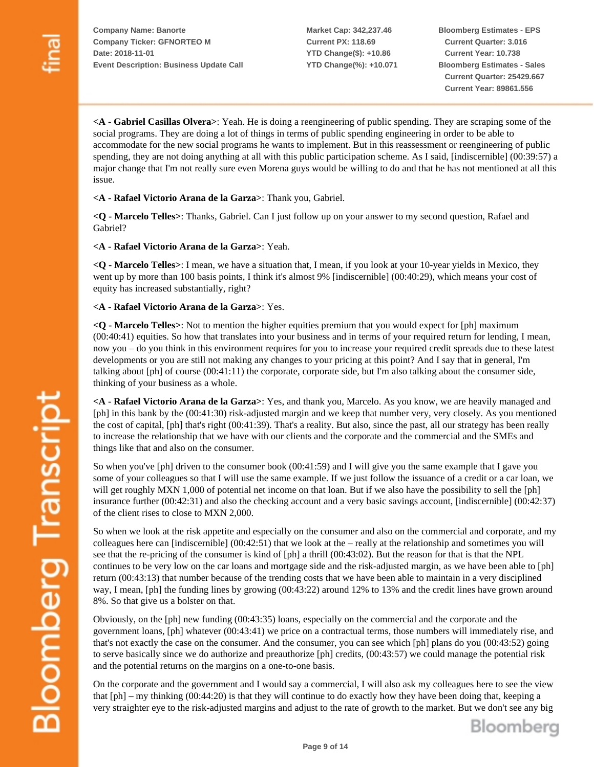**Market Cap: 342,237.46 Current PX: 118.69 YTD Change(\$): +10.86 YTD Change(%): +10.071** **Bloomberg Estimates - EPS Current Quarter: 3.016 Current Year: 10.738 Bloomberg Estimates - Sales Current Quarter: 25429.667 Current Year: 89861.556**

**<A - Gabriel Casillas Olvera>**: Yeah. He is doing a reengineering of public spending. They are scraping some of the social programs. They are doing a lot of things in terms of public spending engineering in order to be able to accommodate for the new social programs he wants to implement. But in this reassessment or reengineering of public spending, they are not doing anything at all with this public participation scheme. As I said, [indiscernible] (00:39:57) a major change that I'm not really sure even Morena guys would be willing to do and that he has not mentioned at all this issue.

**<A - Rafael Victorio Arana de la Garza>**: Thank you, Gabriel.

**<Q - Marcelo Telles>**: Thanks, Gabriel. Can I just follow up on your answer to my second question, Rafael and Gabriel?

**<A - Rafael Victorio Arana de la Garza>**: Yeah.

**<Q - Marcelo Telles>**: I mean, we have a situation that, I mean, if you look at your 10-year yields in Mexico, they went up by more than 100 basis points, I think it's almost 9% [indiscernible] (00:40:29), which means your cost of equity has increased substantially, right?

**<A - Rafael Victorio Arana de la Garza>**: Yes.

**<Q - Marcelo Telles>**: Not to mention the higher equities premium that you would expect for [ph] maximum (00:40:41) equities. So how that translates into your business and in terms of your required return for lending, I mean, now you – do you think in this environment requires for you to increase your required credit spreads due to these latest developments or you are still not making any changes to your pricing at this point? And I say that in general, I'm talking about [ph] of course (00:41:11) the corporate, corporate side, but I'm also talking about the consumer side, thinking of your business as a whole.

**<A - Rafael Victorio Arana de la Garza>**: Yes, and thank you, Marcelo. As you know, we are heavily managed and [ph] in this bank by the (00:41:30) risk-adjusted margin and we keep that number very, very closely. As you mentioned the cost of capital, [ph] that's right (00:41:39). That's a reality. But also, since the past, all our strategy has been really to increase the relationship that we have with our clients and the corporate and the commercial and the SMEs and things like that and also on the consumer.

So when you've [ph] driven to the consumer book (00:41:59) and I will give you the same example that I gave you some of your colleagues so that I will use the same example. If we just follow the issuance of a credit or a car loan, we will get roughly MXN 1,000 of potential net income on that loan. But if we also have the possibility to sell the [ph] insurance further (00:42:31) and also the checking account and a very basic savings account, [indiscernible] (00:42:37) of the client rises to close to MXN 2,000.

So when we look at the risk appetite and especially on the consumer and also on the commercial and corporate, and my colleagues here can [indiscernible] (00:42:51) that we look at the – really at the relationship and sometimes you will see that the re-pricing of the consumer is kind of [ph] a thrill (00:43:02). But the reason for that is that the NPL continues to be very low on the car loans and mortgage side and the risk-adjusted margin, as we have been able to [ph] return (00:43:13) that number because of the trending costs that we have been able to maintain in a very disciplined way, I mean, [ph] the funding lines by growing (00:43:22) around 12% to 13% and the credit lines have grown around 8%. So that give us a bolster on that.

Obviously, on the [ph] new funding (00:43:35) loans, especially on the commercial and the corporate and the government loans, [ph] whatever (00:43:41) we price on a contractual terms, those numbers will immediately rise, and that's not exactly the case on the consumer. And the consumer, you can see which [ph] plans do you (00:43:52) going to serve basically since we do authorize and preauthorize [ph] credits, (00:43:57) we could manage the potential risk and the potential returns on the margins on a one-to-one basis.

On the corporate and the government and I would say a commercial, I will also ask my colleagues here to see the view that [ph] – my thinking (00:44:20) is that they will continue to do exactly how they have been doing that, keeping a very straighter eye to the risk-adjusted margins and adjust to the rate of growth to the market. But we don't see any big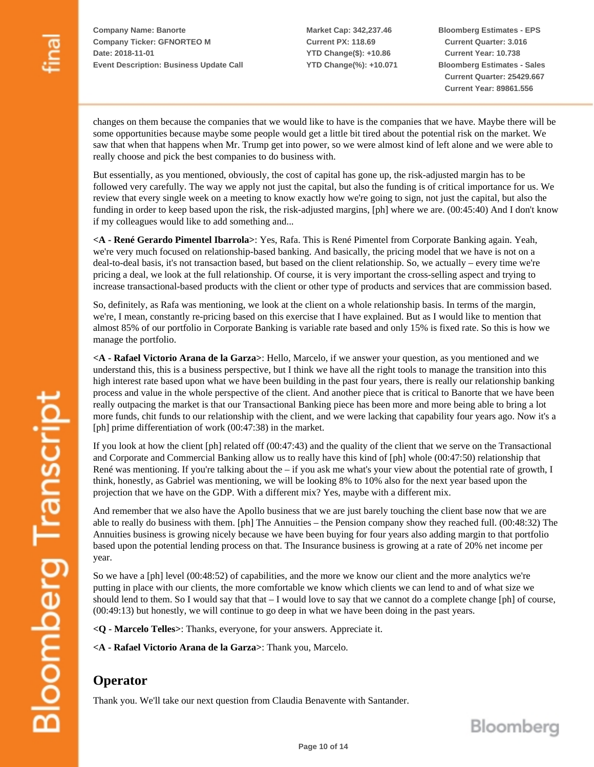**Market Cap: 342,237.46 Current PX: 118.69 YTD Change(\$): +10.86 YTD Change(%): +10.071** **Bloomberg Estimates - EPS Current Quarter: 3.016 Current Year: 10.738 Bloomberg Estimates - Sales Current Quarter: 25429.667 Current Year: 89861.556**

changes on them because the companies that we would like to have is the companies that we have. Maybe there will be some opportunities because maybe some people would get a little bit tired about the potential risk on the market. We saw that when that happens when Mr. Trump get into power, so we were almost kind of left alone and we were able to really choose and pick the best companies to do business with.

But essentially, as you mentioned, obviously, the cost of capital has gone up, the risk-adjusted margin has to be followed very carefully. The way we apply not just the capital, but also the funding is of critical importance for us. We review that every single week on a meeting to know exactly how we're going to sign, not just the capital, but also the funding in order to keep based upon the risk, the risk-adjusted margins, [ph] where we are. (00:45:40) And I don't know if my colleagues would like to add something and...

**<A - René Gerardo Pimentel Ibarrola>**: Yes, Rafa. This is René Pimentel from Corporate Banking again. Yeah, we're very much focused on relationship-based banking. And basically, the pricing model that we have is not on a deal-to-deal basis, it's not transaction based, but based on the client relationship. So, we actually – every time we're pricing a deal, we look at the full relationship. Of course, it is very important the cross-selling aspect and trying to increase transactional-based products with the client or other type of products and services that are commission based.

So, definitely, as Rafa was mentioning, we look at the client on a whole relationship basis. In terms of the margin, we're, I mean, constantly re-pricing based on this exercise that I have explained. But as I would like to mention that almost 85% of our portfolio in Corporate Banking is variable rate based and only 15% is fixed rate. So this is how we manage the portfolio.

**<A - Rafael Victorio Arana de la Garza>**: Hello, Marcelo, if we answer your question, as you mentioned and we understand this, this is a business perspective, but I think we have all the right tools to manage the transition into this high interest rate based upon what we have been building in the past four years, there is really our relationship banking process and value in the whole perspective of the client. And another piece that is critical to Banorte that we have been really outpacing the market is that our Transactional Banking piece has been more and more being able to bring a lot more funds, chit funds to our relationship with the client, and we were lacking that capability four years ago. Now it's a [ph] prime differentiation of work (00:47:38) in the market.

If you look at how the client [ph] related off (00:47:43) and the quality of the client that we serve on the Transactional and Corporate and Commercial Banking allow us to really have this kind of [ph] whole (00:47:50) relationship that René was mentioning. If you're talking about the  $-$  if you ask me what's your view about the potential rate of growth, I think, honestly, as Gabriel was mentioning, we will be looking 8% to 10% also for the next year based upon the projection that we have on the GDP. With a different mix? Yes, maybe with a different mix.

And remember that we also have the Apollo business that we are just barely touching the client base now that we are able to really do business with them. [ph] The Annuities – the Pension company show they reached full. (00:48:32) The Annuities business is growing nicely because we have been buying for four years also adding margin to that portfolio based upon the potential lending process on that. The Insurance business is growing at a rate of 20% net income per year.

So we have a [ph] level (00:48:52) of capabilities, and the more we know our client and the more analytics we're putting in place with our clients, the more comfortable we know which clients we can lend to and of what size we should lend to them. So I would say that that  $-$  I would love to say that we cannot do a complete change [ph] of course, (00:49:13) but honestly, we will continue to go deep in what we have been doing in the past years.

**<Q - Marcelo Telles>**: Thanks, everyone, for your answers. Appreciate it.

**<A - Rafael Victorio Arana de la Garza>**: Thank you, Marcelo.

## **Operator**

Thank you. We'll take our next question from Claudia Benavente with Santander.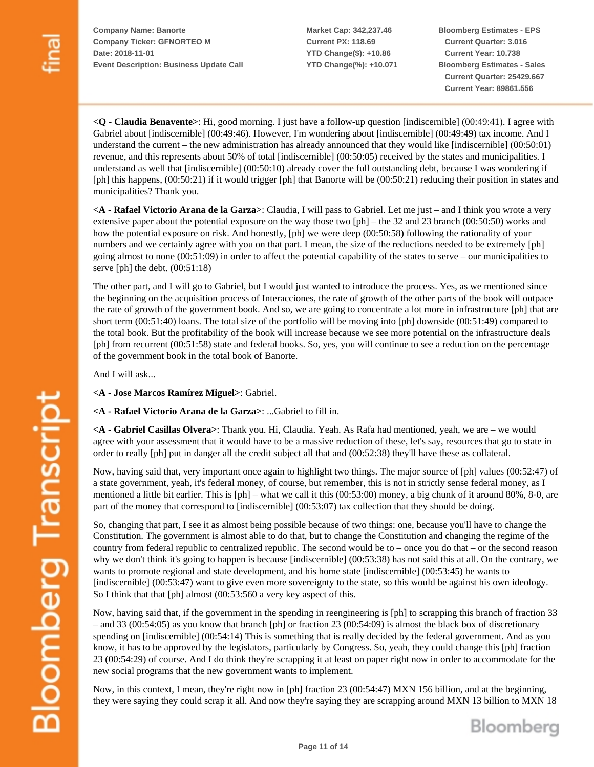**Market Cap: 342,237.46 Current PX: 118.69 YTD Change(\$): +10.86 YTD Change(%): +10.071** **Bloomberg Estimates - EPS Current Quarter: 3.016 Current Year: 10.738 Bloomberg Estimates - Sales Current Quarter: 25429.667 Current Year: 89861.556**

**<Q - Claudia Benavente>**: Hi, good morning. I just have a follow-up question [indiscernible] (00:49:41). I agree with Gabriel about [indiscernible] (00:49:46). However, I'm wondering about [indiscernible] (00:49:49) tax income. And I understand the current – the new administration has already announced that they would like [indiscernible] (00:50:01) revenue, and this represents about 50% of total [indiscernible] (00:50:05) received by the states and municipalities. I understand as well that [indiscernible] (00:50:10) already cover the full outstanding debt, because I was wondering if [ph] this happens, (00:50:21) if it would trigger [ph] that Banorte will be (00:50:21) reducing their position in states and municipalities? Thank you.

**<A - Rafael Victorio Arana de la Garza>**: Claudia, I will pass to Gabriel. Let me just – and I think you wrote a very extensive paper about the potential exposure on the way those two [ph] – the 32 and 23 branch (00:50:50) works and how the potential exposure on risk. And honestly, [ph] we were deep (00:50:58) following the rationality of your numbers and we certainly agree with you on that part. I mean, the size of the reductions needed to be extremely [ph] going almost to none (00:51:09) in order to affect the potential capability of the states to serve – our municipalities to serve [ph] the debt.  $(00:51:18)$ 

The other part, and I will go to Gabriel, but I would just wanted to introduce the process. Yes, as we mentioned since the beginning on the acquisition process of Interacciones, the rate of growth of the other parts of the book will outpace the rate of growth of the government book. And so, we are going to concentrate a lot more in infrastructure [ph] that are short term (00:51:40) loans. The total size of the portfolio will be moving into [ph] downside (00:51:49) compared to the total book. But the profitability of the book will increase because we see more potential on the infrastructure deals [ph] from recurrent (00:51:58) state and federal books. So, yes, you will continue to see a reduction on the percentage of the government book in the total book of Banorte.

And I will ask...

**<A - Jose Marcos Ramírez Miguel>**: Gabriel.

**<A - Rafael Victorio Arana de la Garza>**: ...Gabriel to fill in.

**<A - Gabriel Casillas Olvera>**: Thank you. Hi, Claudia. Yeah. As Rafa had mentioned, yeah, we are – we would agree with your assessment that it would have to be a massive reduction of these, let's say, resources that go to state in order to really [ph] put in danger all the credit subject all that and (00:52:38) they'll have these as collateral.

Now, having said that, very important once again to highlight two things. The major source of [ph] values (00:52:47) of a state government, yeah, it's federal money, of course, but remember, this is not in strictly sense federal money, as I mentioned a little bit earlier. This is [ph] – what we call it this (00:53:00) money, a big chunk of it around 80%, 8-0, are part of the money that correspond to [indiscernible] (00:53:07) tax collection that they should be doing.

So, changing that part, I see it as almost being possible because of two things: one, because you'll have to change the Constitution. The government is almost able to do that, but to change the Constitution and changing the regime of the country from federal republic to centralized republic. The second would be to – once you do that – or the second reason why we don't think it's going to happen is because [indiscernible] (00:53:38) has not said this at all. On the contrary, we wants to promote regional and state development, and his home state [indiscernible] (00:53:45) he wants to [indiscernible] (00:53:47) want to give even more sovereignty to the state, so this would be against his own ideology. So I think that that [ph] almost (00:53:560 a very key aspect of this.

Now, having said that, if the government in the spending in reengineering is [ph] to scrapping this branch of fraction 33 – and 33 (00:54:05) as you know that branch [ph] or fraction 23 (00:54:09) is almost the black box of discretionary spending on [indiscernible] (00:54:14) This is something that is really decided by the federal government. And as you know, it has to be approved by the legislators, particularly by Congress. So, yeah, they could change this [ph] fraction 23 (00:54:29) of course. And I do think they're scrapping it at least on paper right now in order to accommodate for the new social programs that the new government wants to implement.

Now, in this context, I mean, they're right now in [ph] fraction 23 (00:54:47) MXN 156 billion, and at the beginning, they were saying they could scrap it all. And now they're saying they are scrapping around MXN 13 billion to MXN 18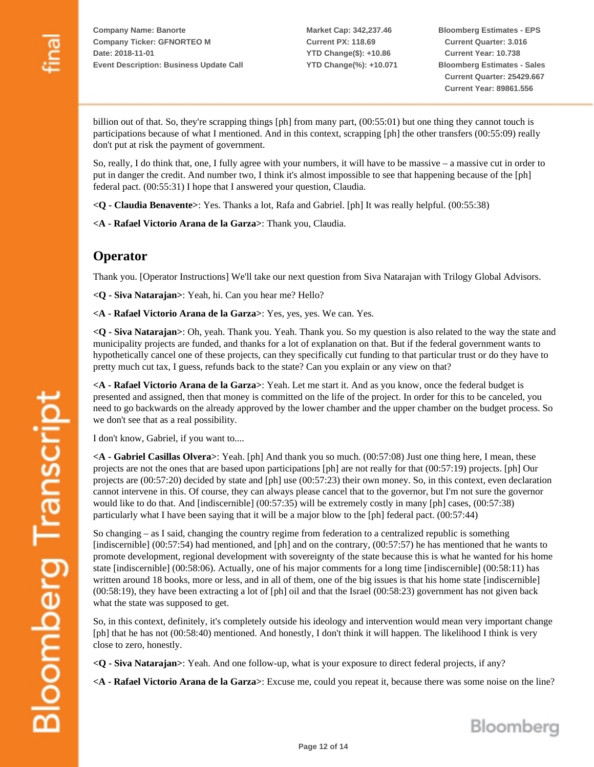**Bloomberg Estimates - EPS Current Quarter: 3.016 Current Year: 10.738 Bloomberg Estimates - Sales Current Quarter: 25429.667 Current Year: 89861.556**

billion out of that. So, they're scrapping things [ph] from many part, (00:55:01) but one thing they cannot touch is participations because of what I mentioned. And in this context, scrapping [ph] the other transfers (00:55:09) really don't put at risk the payment of government.

So, really, I do think that, one, I fully agree with your numbers, it will have to be massive – a massive cut in order to put in danger the credit. And number two, I think it's almost impossible to see that happening because of the [ph] federal pact. (00:55:31) I hope that I answered your question, Claudia.

**<Q - Claudia Benavente>**: Yes. Thanks a lot, Rafa and Gabriel. [ph] It was really helpful. (00:55:38)

**<A - Rafael Victorio Arana de la Garza>**: Thank you, Claudia.

## **Operator**

Thank you. [Operator Instructions] We'll take our next question from Siva Natarajan with Trilogy Global Advisors.

**<Q - Siva Natarajan>**: Yeah, hi. Can you hear me? Hello?

**<A - Rafael Victorio Arana de la Garza>**: Yes, yes, yes. We can. Yes.

**<Q - Siva Natarajan>**: Oh, yeah. Thank you. Yeah. Thank you. So my question is also related to the way the state and municipality projects are funded, and thanks for a lot of explanation on that. But if the federal government wants to hypothetically cancel one of these projects, can they specifically cut funding to that particular trust or do they have to pretty much cut tax, I guess, refunds back to the state? Can you explain or any view on that?

**<A - Rafael Victorio Arana de la Garza>**: Yeah. Let me start it. And as you know, once the federal budget is presented and assigned, then that money is committed on the life of the project. In order for this to be canceled, you need to go backwards on the already approved by the lower chamber and the upper chamber on the budget process. So we don't see that as a real possibility.

I don't know, Gabriel, if you want to....

**<A - Gabriel Casillas Olvera>**: Yeah. [ph] And thank you so much. (00:57:08) Just one thing here, I mean, these projects are not the ones that are based upon participations [ph] are not really for that (00:57:19) projects. [ph] Our projects are (00:57:20) decided by state and [ph] use (00:57:23) their own money. So, in this context, even declaration cannot intervene in this. Of course, they can always please cancel that to the governor, but I'm not sure the governor would like to do that. And [indiscernible] (00:57:35) will be extremely costly in many [ph] cases, (00:57:38) particularly what I have been saying that it will be a major blow to the [ph] federal pact. (00:57:44)

So changing – as I said, changing the country regime from federation to a centralized republic is something [indiscernible] (00:57:54) had mentioned, and [ph] and on the contrary, (00:57:57) he has mentioned that he wants to promote development, regional development with sovereignty of the state because this is what he wanted for his home state [indiscernible] (00:58:06). Actually, one of his major comments for a long time [indiscernible] (00:58:11) has written around 18 books, more or less, and in all of them, one of the big issues is that his home state [indiscernible] (00:58:19), they have been extracting a lot of [ph] oil and that the Israel (00:58:23) government has not given back what the state was supposed to get.

So, in this context, definitely, it's completely outside his ideology and intervention would mean very important change [ph] that he has not (00:58:40) mentioned. And honestly, I don't think it will happen. The likelihood I think is very close to zero, honestly.

**<Q - Siva Natarajan>**: Yeah. And one follow-up, what is your exposure to direct federal projects, if any?

**<A - Rafael Victorio Arana de la Garza>**: Excuse me, could you repeat it, because there was some noise on the line?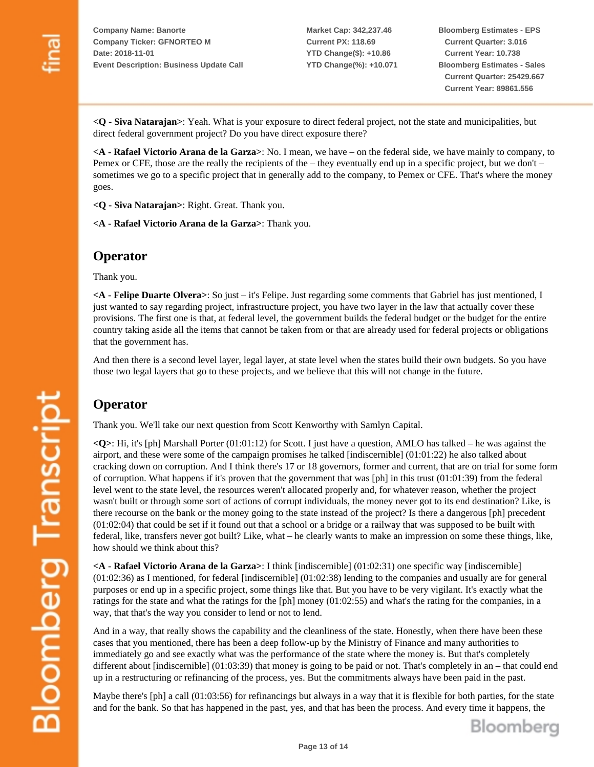**Market Cap: 342,237.46 Current PX: 118.69 YTD Change(\$): +10.86 YTD Change(%): +10.071** **Bloomberg Estimates - EPS Current Quarter: 3.016 Current Year: 10.738 Bloomberg Estimates - Sales Current Quarter: 25429.667 Current Year: 89861.556**

**<Q - Siva Natarajan>**: Yeah. What is your exposure to direct federal project, not the state and municipalities, but direct federal government project? Do you have direct exposure there?

**<A - Rafael Victorio Arana de la Garza>**: No. I mean, we have – on the federal side, we have mainly to company, to Pemex or CFE, those are the really the recipients of the – they eventually end up in a specific project, but we don't – sometimes we go to a specific project that in generally add to the company, to Pemex or CFE. That's where the money goes.

**<Q - Siva Natarajan>**: Right. Great. Thank you.

**<A - Rafael Victorio Arana de la Garza>**: Thank you.

#### **Operator**

Thank you.

**<A - Felipe Duarte Olvera>**: So just – it's Felipe. Just regarding some comments that Gabriel has just mentioned, I just wanted to say regarding project, infrastructure project, you have two layer in the law that actually cover these provisions. The first one is that, at federal level, the government builds the federal budget or the budget for the entire country taking aside all the items that cannot be taken from or that are already used for federal projects or obligations that the government has.

And then there is a second level layer, legal layer, at state level when the states build their own budgets. So you have those two legal layers that go to these projects, and we believe that this will not change in the future.

## **Operator**

Thank you. We'll take our next question from Scott Kenworthy with Samlyn Capital.

**<Q>**: Hi, it's [ph] Marshall Porter (01:01:12) for Scott. I just have a question, AMLO has talked – he was against the airport, and these were some of the campaign promises he talked [indiscernible] (01:01:22) he also talked about cracking down on corruption. And I think there's 17 or 18 governors, former and current, that are on trial for some form of corruption. What happens if it's proven that the government that was [ph] in this trust (01:01:39) from the federal level went to the state level, the resources weren't allocated properly and, for whatever reason, whether the project wasn't built or through some sort of actions of corrupt individuals, the money never got to its end destination? Like, is there recourse on the bank or the money going to the state instead of the project? Is there a dangerous [ph] precedent (01:02:04) that could be set if it found out that a school or a bridge or a railway that was supposed to be built with federal, like, transfers never got built? Like, what – he clearly wants to make an impression on some these things, like, how should we think about this?

**<A - Rafael Victorio Arana de la Garza>**: I think [indiscernible] (01:02:31) one specific way [indiscernible] (01:02:36) as I mentioned, for federal [indiscernible] (01:02:38) lending to the companies and usually are for general purposes or end up in a specific project, some things like that. But you have to be very vigilant. It's exactly what the ratings for the state and what the ratings for the [ph] money (01:02:55) and what's the rating for the companies, in a way, that that's the way you consider to lend or not to lend.

And in a way, that really shows the capability and the cleanliness of the state. Honestly, when there have been these cases that you mentioned, there has been a deep follow-up by the Ministry of Finance and many authorities to immediately go and see exactly what was the performance of the state where the money is. But that's completely different about [indiscernible] (01:03:39) that money is going to be paid or not. That's completely in an – that could end up in a restructuring or refinancing of the process, yes. But the commitments always have been paid in the past.

Maybe there's [ph] a call (01:03:56) for refinancings but always in a way that it is flexible for both parties, for the state and for the bank. So that has happened in the past, yes, and that has been the process. And every time it happens, the